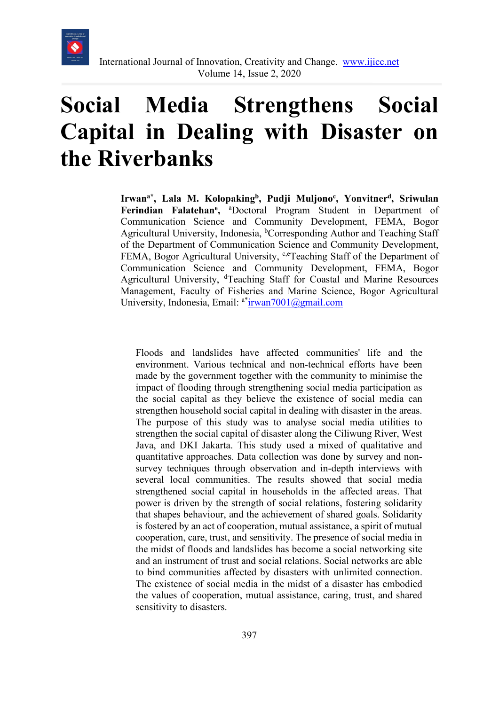

# **Social Media Strengthens Social Capital in Dealing with Disaster on the Riverbanks**

Irwan<sup>a\*</sup>, Lala M. Kolopaking<sup>b</sup>, Pudji Muljono<sup>c</sup>, Yonvitner<sup>d</sup>, Sriwulan Ferindian Falatehan<sup>e</sup>, <sup>a</sup>Doctoral Program Student in Department of Communication Science and Community Development, FEMA, Bogor Agricultural University, Indonesia, <sup>b</sup>Corresponding Author and Teaching Staff of the Department of Communication Science and Community Development, FEMA, Bogor Agricultural University, <sup>c,e</sup>Teaching Staff of the Department of Communication Science and Community Development, FEMA, Bogor Agricultural University, <sup>d</sup>Teaching Staff for Coastal and Marine Resources Management, Faculty of Fisheries and Marine Science, Bogor Agricultural University, Indonesia, Email: a[\\*irwan7001@gmail.com](mailto:irwan7001@gmail.com)

Floods and landslides have affected communities' life and the environment. Various technical and non-technical efforts have been made by the government together with the community to minimise the impact of flooding through strengthening social media participation as the social capital as they believe the existence of social media can strengthen household social capital in dealing with disaster in the areas. The purpose of this study was to analyse social media utilities to strengthen the social capital of disaster along the Ciliwung River, West Java, and DKI Jakarta. This study used a mixed of qualitative and quantitative approaches. Data collection was done by survey and nonsurvey techniques through observation and in-depth interviews with several local communities. The results showed that social media strengthened social capital in households in the affected areas. That power is driven by the strength of social relations, fostering solidarity that shapes behaviour, and the achievement of shared goals. Solidarity is fostered by an act of cooperation, mutual assistance, a spirit of mutual cooperation, care, trust, and sensitivity. The presence of social media in the midst of floods and landslides has become a social networking site and an instrument of trust and social relations. Social networks are able to bind communities affected by disasters with unlimited connection. The existence of social media in the midst of a disaster has embodied the values of cooperation, mutual assistance, caring, trust, and shared sensitivity to disasters.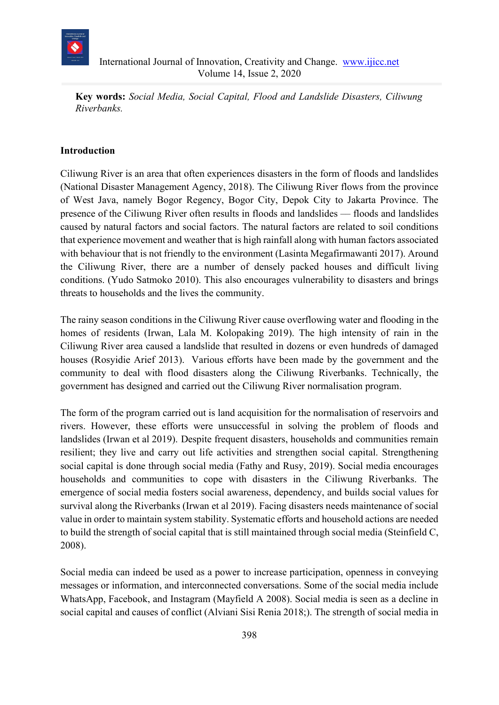

**Key words:** *Social Media, Social Capital, Flood and Landslide Disasters, Ciliwung Riverbanks.* 

## **Introduction**

Ciliwung River is an area that often experiences disasters in the form of floods and landslides (National Disaster Management Agency, 2018). The Ciliwung River flows from the province of West Java, namely Bogor Regency, Bogor City, Depok City to Jakarta Province. The presence of the Ciliwung River often results in floods and landslides –– floods and landslides caused by natural factors and social factors. The natural factors are related to soil conditions that experience movement and weather that is high rainfall along with human factors associated with behaviour that is not friendly to the environment (Lasinta Megafirmawanti 2017). Around the Ciliwung River, there are a number of densely packed houses and difficult living conditions. (Yudo Satmoko 2010). This also encourages vulnerability to disasters and brings threats to households and the lives the community.

The rainy season conditions in the Ciliwung River cause overflowing water and flooding in the homes of residents (Irwan, Lala M. Kolopaking 2019). The high intensity of rain in the Ciliwung River area caused a landslide that resulted in dozens or even hundreds of damaged houses (Rosyidie Arief 2013). Various efforts have been made by the government and the community to deal with flood disasters along the Ciliwung Riverbanks. Technically, the government has designed and carried out the Ciliwung River normalisation program.

The form of the program carried out is land acquisition for the normalisation of reservoirs and rivers. However, these efforts were unsuccessful in solving the problem of floods and landslides (Irwan et al 2019). Despite frequent disasters, households and communities remain resilient; they live and carry out life activities and strengthen social capital. Strengthening social capital is done through social media (Fathy and Rusy, 2019). Social media encourages households and communities to cope with disasters in the Ciliwung Riverbanks. The emergence of social media fosters social awareness, dependency, and builds social values for survival along the Riverbanks (Irwan et al 2019). Facing disasters needs maintenance of social value in order to maintain system stability. Systematic efforts and household actions are needed to build the strength of social capital that is still maintained through social media (Steinfield C, 2008).

Social media can indeed be used as a power to increase participation, openness in conveying messages or information, and interconnected conversations. Some of the social media include WhatsApp, Facebook, and Instagram (Mayfield A 2008). Social media is seen as a decline in social capital and causes of conflict (Alviani Sisi Renia 2018;). The strength of social media in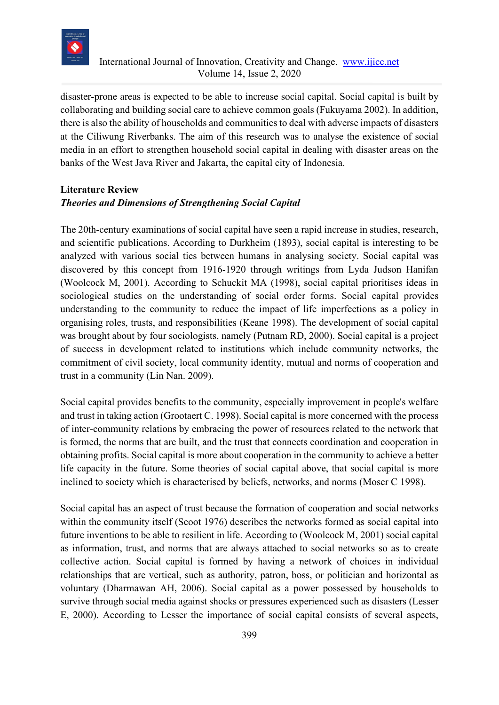

disaster-prone areas is expected to be able to increase social capital. Social capital is built by collaborating and building social care to achieve common goals (Fukuyama 2002). In addition, there is also the ability of households and communities to deal with adverse impacts of disasters at the Ciliwung Riverbanks. The aim of this research was to analyse the existence of social media in an effort to strengthen household social capital in dealing with disaster areas on the banks of the West Java River and Jakarta, the capital city of Indonesia.

# **Literature Review**  *Theories and Dimensions of Strengthening Social Capital*

The 20th-century examinations of social capital have seen a rapid increase in studies, research, and scientific publications. According to Durkheim (1893), social capital is interesting to be analyzed with various social ties between humans in analysing society. Social capital was discovered by this concept from 1916-1920 through writings from Lyda Judson Hanifan (Woolcock M, 2001). According to Schuckit MA (1998), social capital prioritises ideas in sociological studies on the understanding of social order forms. Social capital provides understanding to the community to reduce the impact of life imperfections as a policy in organising roles, trusts, and responsibilities (Keane 1998). The development of social capital was brought about by four sociologists, namely (Putnam RD, 2000). Social capital is a project of success in development related to institutions which include community networks, the commitment of civil society, local community identity, mutual and norms of cooperation and trust in a community (Lin Nan. 2009).

Social capital provides benefits to the community, especially improvement in people's welfare and trust in taking action (Grootaert C. 1998). Social capital is more concerned with the process of inter-community relations by embracing the power of resources related to the network that is formed, the norms that are built, and the trust that connects coordination and cooperation in obtaining profits. Social capital is more about cooperation in the community to achieve a better life capacity in the future. Some theories of social capital above, that social capital is more inclined to society which is characterised by beliefs, networks, and norms (Moser C 1998).

Social capital has an aspect of trust because the formation of cooperation and social networks within the community itself (Scoot 1976) describes the networks formed as social capital into future inventions to be able to resilient in life. According to (Woolcock M, 2001) social capital as information, trust, and norms that are always attached to social networks so as to create collective action. Social capital is formed by having a network of choices in individual relationships that are vertical, such as authority, patron, boss, or politician and horizontal as voluntary (Dharmawan AH, 2006). Social capital as a power possessed by households to survive through social media against shocks or pressures experienced such as disasters (Lesser E, 2000). According to Lesser the importance of social capital consists of several aspects,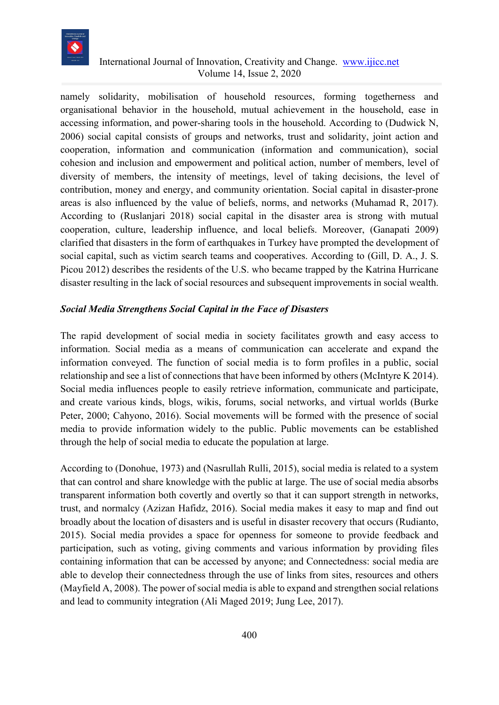

namely solidarity, mobilisation of household resources, forming togetherness and organisational behavior in the household, mutual achievement in the household, ease in accessing information, and power-sharing tools in the household. According to (Dudwick N, 2006) social capital consists of groups and networks, trust and solidarity, joint action and cooperation, information and communication (information and communication), social cohesion and inclusion and empowerment and political action, number of members, level of diversity of members, the intensity of meetings, level of taking decisions, the level of contribution, money and energy, and community orientation. Social capital in disaster-prone areas is also influenced by the value of beliefs, norms, and networks (Muhamad R, 2017). According to (Ruslanjari 2018) social capital in the disaster area is strong with mutual cooperation, culture, leadership influence, and local beliefs. Moreover, (Ganapati 2009) clarified that disasters in the form of earthquakes in Turkey have prompted the development of social capital, such as victim search teams and cooperatives. According to (Gill, D. A., J. S. Picou 2012) describes the residents of the U.S. who became trapped by the Katrina Hurricane disaster resulting in the lack of social resources and subsequent improvements in social wealth.

## *Social Media Strengthens Social Capital in the Face of Disasters*

The rapid development of social media in society facilitates growth and easy access to information. Social media as a means of communication can accelerate and expand the information conveyed. The function of social media is to form profiles in a public, social relationship and see a list of connections that have been informed by others (McIntyre K 2014). Social media influences people to easily retrieve information, communicate and participate, and create various kinds, blogs, wikis, forums, social networks, and virtual worlds (Burke Peter, 2000; Cahyono, 2016). Social movements will be formed with the presence of social media to provide information widely to the public. Public movements can be established through the help of social media to educate the population at large.

According to (Donohue, 1973) and (Nasrullah Rulli, 2015), social media is related to a system that can control and share knowledge with the public at large. The use of social media absorbs transparent information both covertly and overtly so that it can support strength in networks, trust, and normalcy (Azizan Hafidz, 2016). Social media makes it easy to map and find out broadly about the location of disasters and is useful in disaster recovery that occurs (Rudianto, 2015). Social media provides a space for openness for someone to provide feedback and participation, such as voting, giving comments and various information by providing files containing information that can be accessed by anyone; and Connectedness: social media are able to develop their connectedness through the use of links from sites, resources and others (Mayfield A, 2008). The power of social media is able to expand and strengthen social relations and lead to community integration (Ali Maged 2019; Jung Lee, 2017).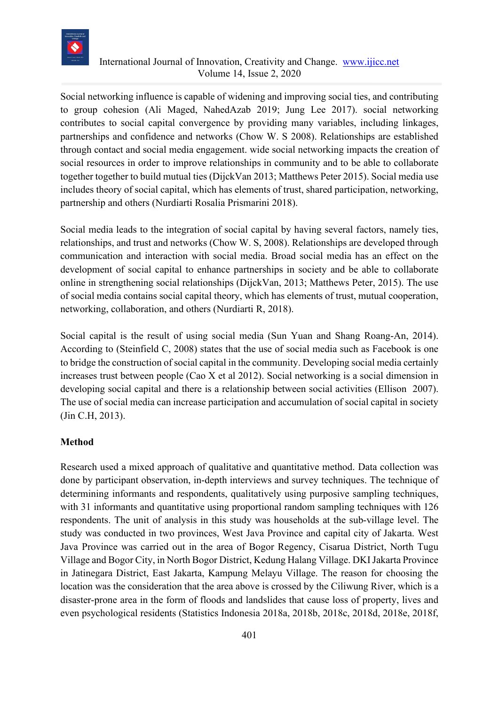

Social networking influence is capable of widening and improving social ties, and contributing to group cohesion (Ali Maged, NahedAzab 2019; Jung Lee 2017). social networking contributes to social capital convergence by providing many variables, including linkages, partnerships and confidence and networks (Chow W. S 2008). Relationships are established through contact and social media engagement. wide social networking impacts the creation of social resources in order to improve relationships in community and to be able to collaborate together together to build mutual ties (DijckVan 2013; Matthews Peter 2015). Social media use includes theory of social capital, which has elements of trust, shared participation, networking, partnership and others (Nurdiarti Rosalia Prismarini 2018).

Social media leads to the integration of social capital by having several factors, namely ties, relationships, and trust and networks (Chow W. S, 2008). Relationships are developed through communication and interaction with social media. Broad social media has an effect on the development of social capital to enhance partnerships in society and be able to collaborate online in strengthening social relationships (DijckVan, 2013; Matthews Peter, 2015). The use of social media contains social capital theory, which has elements of trust, mutual cooperation, networking, collaboration, and others (Nurdiarti R, 2018).

Social capital is the result of using social media (Sun Yuan and Shang Roang-An, 2014). According to (Steinfield C, 2008) states that the use of social media such as Facebook is one to bridge the construction of social capital in the community. Developing social media certainly increases trust between people (Cao X et al 2012). Social networking is a social dimension in developing social capital and there is a relationship between social activities (Ellison 2007). The use of social media can increase participation and accumulation of social capital in society (Jin C.H, 2013).

## **Method**

Research used a mixed approach of qualitative and quantitative method. Data collection was done by participant observation, in-depth interviews and survey techniques. The technique of determining informants and respondents, qualitatively using purposive sampling techniques, with 31 informants and quantitative using proportional random sampling techniques with 126 respondents. The unit of analysis in this study was households at the sub-village level. The study was conducted in two provinces, West Java Province and capital city of Jakarta. West Java Province was carried out in the area of Bogor Regency, Cisarua District, North Tugu Village and Bogor City, in North Bogor District, Kedung Halang Village. DKI Jakarta Province in Jatinegara District, East Jakarta, Kampung Melayu Village. The reason for choosing the location was the consideration that the area above is crossed by the Ciliwung River, which is a disaster-prone area in the form of floods and landslides that cause loss of property, lives and even psychological residents (Statistics Indonesia 2018a, 2018b, 2018c, 2018d, 2018e, 2018f,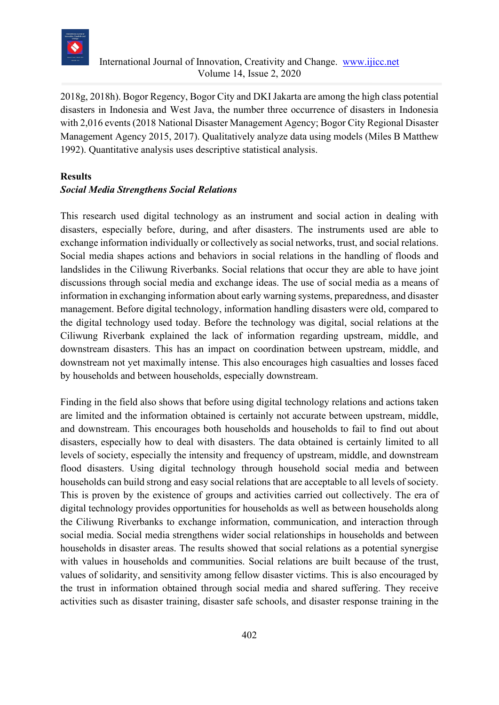

2018g, 2018h). Bogor Regency, Bogor City and DKI Jakarta are among the high class potential disasters in Indonesia and West Java, the number three occurrence of disasters in Indonesia with 2,016 events (2018 National Disaster Management Agency; Bogor City Regional Disaster Management Agency 2015, 2017). Qualitatively analyze data using models (Miles B Matthew 1992). Quantitative analysis uses descriptive statistical analysis.

## **Results**

## *Social Media Strengthens Social Relations*

This research used digital technology as an instrument and social action in dealing with disasters, especially before, during, and after disasters. The instruments used are able to exchange information individually or collectively as social networks, trust, and social relations. Social media shapes actions and behaviors in social relations in the handling of floods and landslides in the Ciliwung Riverbanks. Social relations that occur they are able to have joint discussions through social media and exchange ideas. The use of social media as a means of information in exchanging information about early warning systems, preparedness, and disaster management. Before digital technology, information handling disasters were old, compared to the digital technology used today. Before the technology was digital, social relations at the Ciliwung Riverbank explained the lack of information regarding upstream, middle, and downstream disasters. This has an impact on coordination between upstream, middle, and downstream not yet maximally intense. This also encourages high casualties and losses faced by households and between households, especially downstream.

Finding in the field also shows that before using digital technology relations and actions taken are limited and the information obtained is certainly not accurate between upstream, middle, and downstream. This encourages both households and households to fail to find out about disasters, especially how to deal with disasters. The data obtained is certainly limited to all levels of society, especially the intensity and frequency of upstream, middle, and downstream flood disasters. Using digital technology through household social media and between households can build strong and easy social relations that are acceptable to all levels of society. This is proven by the existence of groups and activities carried out collectively. The era of digital technology provides opportunities for households as well as between households along the Ciliwung Riverbanks to exchange information, communication, and interaction through social media. Social media strengthens wider social relationships in households and between households in disaster areas. The results showed that social relations as a potential synergise with values in households and communities. Social relations are built because of the trust, values of solidarity, and sensitivity among fellow disaster victims. This is also encouraged by the trust in information obtained through social media and shared suffering. They receive activities such as disaster training, disaster safe schools, and disaster response training in the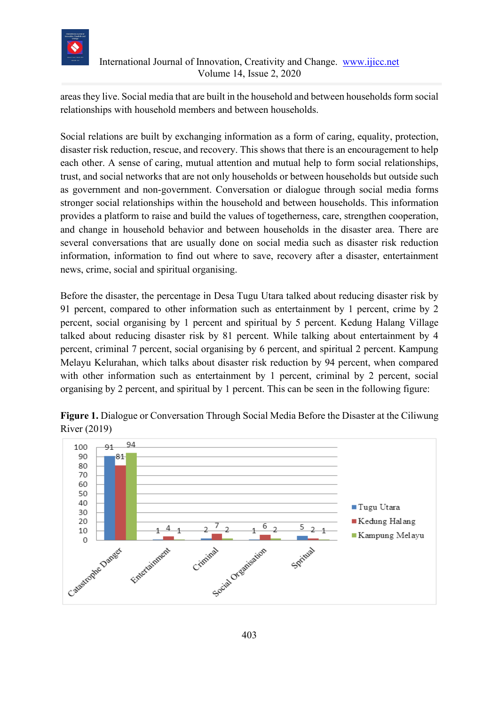

areas they live. Social media that are built in the household and between households form social relationships with household members and between households.

Social relations are built by exchanging information as a form of caring, equality, protection, disaster risk reduction, rescue, and recovery. This shows that there is an encouragement to help each other. A sense of caring, mutual attention and mutual help to form social relationships, trust, and social networks that are not only households or between households but outside such as government and non-government. Conversation or dialogue through social media forms stronger social relationships within the household and between households. This information provides a platform to raise and build the values of togetherness, care, strengthen cooperation, and change in household behavior and between households in the disaster area. There are several conversations that are usually done on social media such as disaster risk reduction information, information to find out where to save, recovery after a disaster, entertainment news, crime, social and spiritual organising.

Before the disaster, the percentage in Desa Tugu Utara talked about reducing disaster risk by 91 percent, compared to other information such as entertainment by 1 percent, crime by 2 percent, social organising by 1 percent and spiritual by 5 percent. Kedung Halang Village talked about reducing disaster risk by 81 percent. While talking about entertainment by 4 percent, criminal 7 percent, social organising by 6 percent, and spiritual 2 percent. Kampung Melayu Kelurahan, which talks about disaster risk reduction by 94 percent, when compared with other information such as entertainment by 1 percent, criminal by 2 percent, social organising by 2 percent, and spiritual by 1 percent. This can be seen in the following figure:

**Figure 1.** Dialogue or Conversation Through Social Media Before the Disaster at the Ciliwung River (2019)

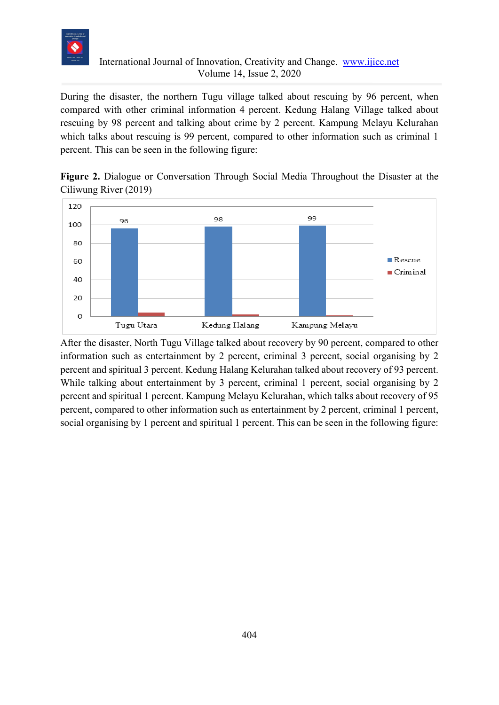

During the disaster, the northern Tugu village talked about rescuing by 96 percent, when compared with other criminal information 4 percent. Kedung Halang Village talked about rescuing by 98 percent and talking about crime by 2 percent. Kampung Melayu Kelurahan which talks about rescuing is 99 percent, compared to other information such as criminal 1 percent. This can be seen in the following figure:

**Figure 2.** Dialogue or Conversation Through Social Media Throughout the Disaster at the Ciliwung River (2019)



After the disaster, North Tugu Village talked about recovery by 90 percent, compared to other information such as entertainment by 2 percent, criminal 3 percent, social organising by 2 percent and spiritual 3 percent. Kedung Halang Kelurahan talked about recovery of 93 percent. While talking about entertainment by 3 percent, criminal 1 percent, social organising by 2 percent and spiritual 1 percent. Kampung Melayu Kelurahan, which talks about recovery of 95 percent, compared to other information such as entertainment by 2 percent, criminal 1 percent, social organising by 1 percent and spiritual 1 percent. This can be seen in the following figure: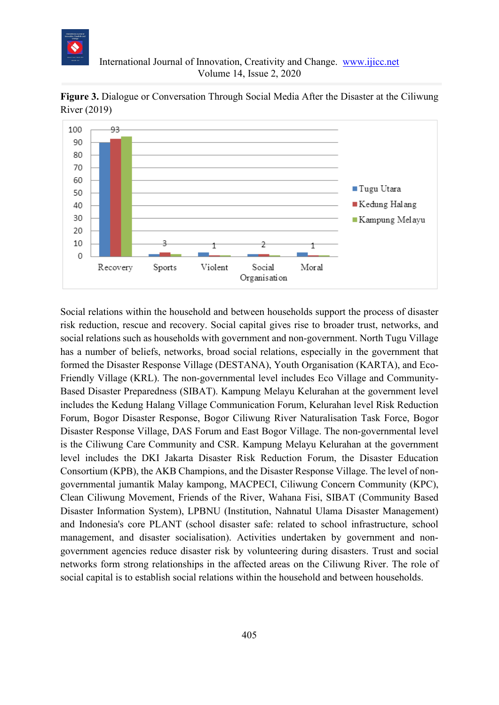

**Figure 3.** Dialogue or Conversation Through Social Media After the Disaster at the Ciliwung River (2019)



Social relations within the household and between households support the process of disaster risk reduction, rescue and recovery. Social capital gives rise to broader trust, networks, and social relations such as households with government and non-government. North Tugu Village has a number of beliefs, networks, broad social relations, especially in the government that formed the Disaster Response Village (DESTANA), Youth Organisation (KARTA), and Eco-Friendly Village (KRL). The non-governmental level includes Eco Village and Community-Based Disaster Preparedness (SIBAT). Kampung Melayu Kelurahan at the government level includes the Kedung Halang Village Communication Forum, Kelurahan level Risk Reduction Forum, Bogor Disaster Response, Bogor Ciliwung River Naturalisation Task Force, Bogor Disaster Response Village, DAS Forum and East Bogor Village. The non-governmental level is the Ciliwung Care Community and CSR. Kampung Melayu Kelurahan at the government level includes the DKI Jakarta Disaster Risk Reduction Forum, the Disaster Education Consortium (KPB), the AKB Champions, and the Disaster Response Village. The level of nongovernmental jumantik Malay kampong, MACPECI, Ciliwung Concern Community (KPC), Clean Ciliwung Movement, Friends of the River, Wahana Fisi, SIBAT (Community Based Disaster Information System), LPBNU (Institution, Nahnatul Ulama Disaster Management) and Indonesia's core PLANT (school disaster safe: related to school infrastructure, school management, and disaster socialisation). Activities undertaken by government and nongovernment agencies reduce disaster risk by volunteering during disasters. Trust and social networks form strong relationships in the affected areas on the Ciliwung River. The role of social capital is to establish social relations within the household and between households.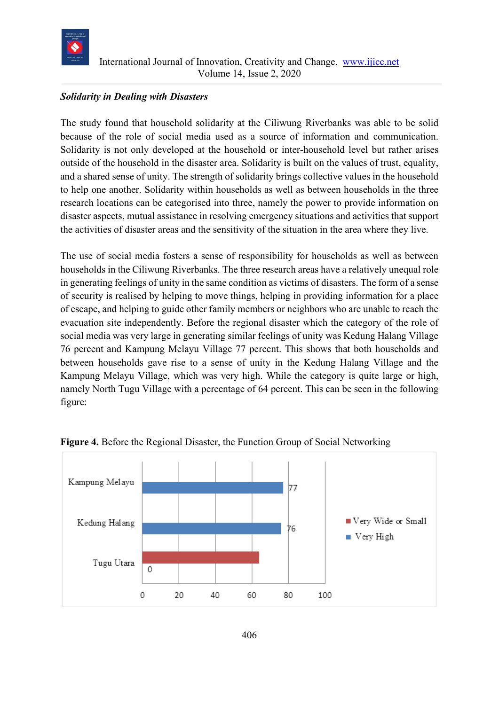

## *Solidarity in Dealing with Disasters*

The study found that household solidarity at the Ciliwung Riverbanks was able to be solid because of the role of social media used as a source of information and communication. Solidarity is not only developed at the household or inter-household level but rather arises outside of the household in the disaster area. Solidarity is built on the values of trust, equality, and a shared sense of unity. The strength of solidarity brings collective values in the household to help one another. Solidarity within households as well as between households in the three research locations can be categorised into three, namely the power to provide information on disaster aspects, mutual assistance in resolving emergency situations and activities that support the activities of disaster areas and the sensitivity of the situation in the area where they live.

The use of social media fosters a sense of responsibility for households as well as between households in the Ciliwung Riverbanks. The three research areas have a relatively unequal role in generating feelings of unity in the same condition as victims of disasters. The form of a sense of security is realised by helping to move things, helping in providing information for a place of escape, and helping to guide other family members or neighbors who are unable to reach the evacuation site independently. Before the regional disaster which the category of the role of social media was very large in generating similar feelings of unity was Kedung Halang Village 76 percent and Kampung Melayu Village 77 percent. This shows that both households and between households gave rise to a sense of unity in the Kedung Halang Village and the Kampung Melayu Village, which was very high. While the category is quite large or high, namely North Tugu Village with a percentage of 64 percent. This can be seen in the following figure:



**Figure 4.** Before the Regional Disaster, the Function Group of Social Networking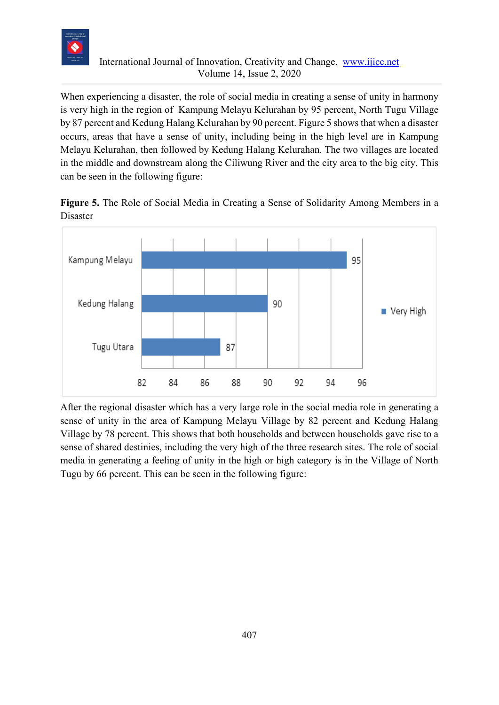

When experiencing a disaster, the role of social media in creating a sense of unity in harmony is very high in the region of Kampung Melayu Kelurahan by 95 percent, North Tugu Village by 87 percent and Kedung Halang Kelurahan by 90 percent. Figure 5 shows that when a disaster occurs, areas that have a sense of unity, including being in the high level are in Kampung Melayu Kelurahan, then followed by Kedung Halang Kelurahan. The two villages are located in the middle and downstream along the Ciliwung River and the city area to the big city. This can be seen in the following figure:





After the regional disaster which has a very large role in the social media role in generating a sense of unity in the area of Kampung Melayu Village by 82 percent and Kedung Halang Village by 78 percent. This shows that both households and between households gave rise to a sense of shared destinies, including the very high of the three research sites. The role of social media in generating a feeling of unity in the high or high category is in the Village of North Tugu by 66 percent. This can be seen in the following figure: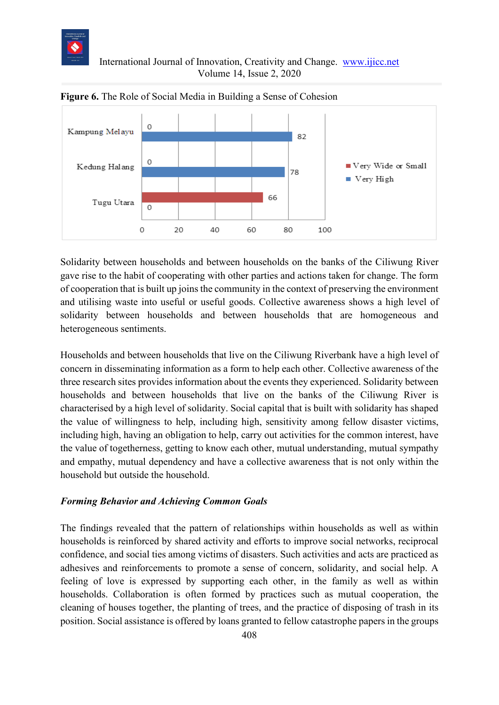



**Figure 6.** The Role of Social Media in Building a Sense of Cohesion

Solidarity between households and between households on the banks of the Ciliwung River gave rise to the habit of cooperating with other parties and actions taken for change. The form of cooperation that is built up joins the community in the context of preserving the environment and utilising waste into useful or useful goods. Collective awareness shows a high level of solidarity between households and between households that are homogeneous and heterogeneous sentiments.

Households and between households that live on the Ciliwung Riverbank have a high level of concern in disseminating information as a form to help each other. Collective awareness of the three research sites provides information about the events they experienced. Solidarity between households and between households that live on the banks of the Ciliwung River is characterised by a high level of solidarity. Social capital that is built with solidarity has shaped the value of willingness to help, including high, sensitivity among fellow disaster victims, including high, having an obligation to help, carry out activities for the common interest, have the value of togetherness, getting to know each other, mutual understanding, mutual sympathy and empathy, mutual dependency and have a collective awareness that is not only within the household but outside the household.

## *Forming Behavior and Achieving Common Goals*

The findings revealed that the pattern of relationships within households as well as within households is reinforced by shared activity and efforts to improve social networks, reciprocal confidence, and social ties among victims of disasters. Such activities and acts are practiced as adhesives and reinforcements to promote a sense of concern, solidarity, and social help. A feeling of love is expressed by supporting each other, in the family as well as within households. Collaboration is often formed by practices such as mutual cooperation, the cleaning of houses together, the planting of trees, and the practice of disposing of trash in its position. Social assistance is offered by loans granted to fellow catastrophe papers in the groups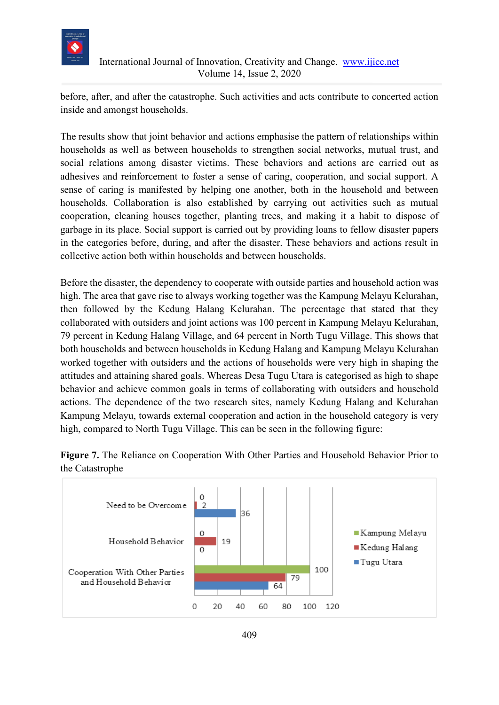

before, after, and after the catastrophe. Such activities and acts contribute to concerted action inside and amongst households.

The results show that joint behavior and actions emphasise the pattern of relationships within households as well as between households to strengthen social networks, mutual trust, and social relations among disaster victims. These behaviors and actions are carried out as adhesives and reinforcement to foster a sense of caring, cooperation, and social support. A sense of caring is manifested by helping one another, both in the household and between households. Collaboration is also established by carrying out activities such as mutual cooperation, cleaning houses together, planting trees, and making it a habit to dispose of garbage in its place. Social support is carried out by providing loans to fellow disaster papers in the categories before, during, and after the disaster. These behaviors and actions result in collective action both within households and between households.

Before the disaster, the dependency to cooperate with outside parties and household action was high. The area that gave rise to always working together was the Kampung Melayu Kelurahan, then followed by the Kedung Halang Kelurahan. The percentage that stated that they collaborated with outsiders and joint actions was 100 percent in Kampung Melayu Kelurahan, 79 percent in Kedung Halang Village, and 64 percent in North Tugu Village. This shows that both households and between households in Kedung Halang and Kampung Melayu Kelurahan worked together with outsiders and the actions of households were very high in shaping the attitudes and attaining shared goals. Whereas Desa Tugu Utara is categorised as high to shape behavior and achieve common goals in terms of collaborating with outsiders and household actions. The dependence of the two research sites, namely Kedung Halang and Kelurahan Kampung Melayu, towards external cooperation and action in the household category is very high, compared to North Tugu Village. This can be seen in the following figure:



**Figure 7.** The Reliance on Cooperation With Other Parties and Household Behavior Prior to the Catastrophe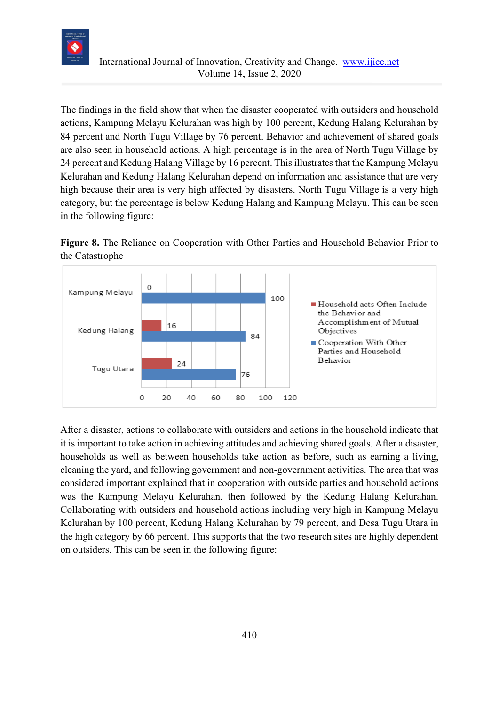

The findings in the field show that when the disaster cooperated with outsiders and household actions, Kampung Melayu Kelurahan was high by 100 percent, Kedung Halang Kelurahan by 84 percent and North Tugu Village by 76 percent. Behavior and achievement of shared goals are also seen in household actions. A high percentage is in the area of North Tugu Village by 24 percent and Kedung Halang Village by 16 percent. This illustrates that the Kampung Melayu Kelurahan and Kedung Halang Kelurahan depend on information and assistance that are very high because their area is very high affected by disasters. North Tugu Village is a very high category, but the percentage is below Kedung Halang and Kampung Melayu. This can be seen in the following figure:





After a disaster, actions to collaborate with outsiders and actions in the household indicate that it is important to take action in achieving attitudes and achieving shared goals. After a disaster, households as well as between households take action as before, such as earning a living, cleaning the yard, and following government and non-government activities. The area that was considered important explained that in cooperation with outside parties and household actions was the Kampung Melayu Kelurahan, then followed by the Kedung Halang Kelurahan. Collaborating with outsiders and household actions including very high in Kampung Melayu Kelurahan by 100 percent, Kedung Halang Kelurahan by 79 percent, and Desa Tugu Utara in the high category by 66 percent. This supports that the two research sites are highly dependent on outsiders. This can be seen in the following figure: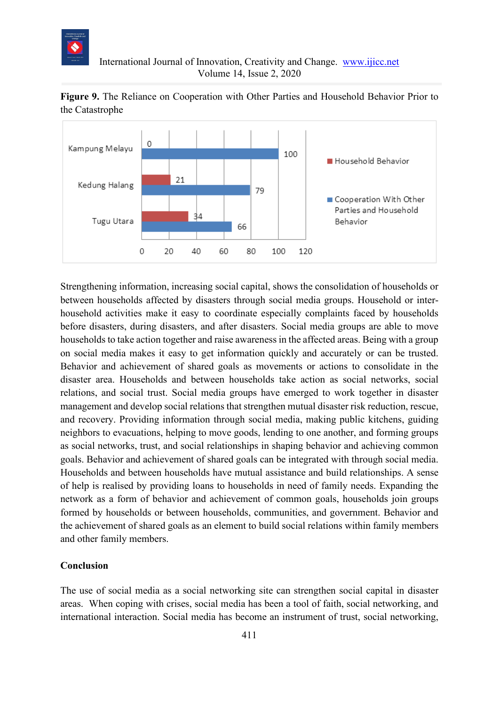

**Figure 9.** The Reliance on Cooperation with Other Parties and Household Behavior Prior to the Catastrophe



Strengthening information, increasing social capital, shows the consolidation of households or between households affected by disasters through social media groups. Household or interhousehold activities make it easy to coordinate especially complaints faced by households before disasters, during disasters, and after disasters. Social media groups are able to move households to take action together and raise awareness in the affected areas. Being with a group on social media makes it easy to get information quickly and accurately or can be trusted. Behavior and achievement of shared goals as movements or actions to consolidate in the disaster area. Households and between households take action as social networks, social relations, and social trust. Social media groups have emerged to work together in disaster management and develop social relations that strengthen mutual disaster risk reduction, rescue, and recovery. Providing information through social media, making public kitchens, guiding neighbors to evacuations, helping to move goods, lending to one another, and forming groups as social networks, trust, and social relationships in shaping behavior and achieving common goals. Behavior and achievement of shared goals can be integrated with through social media. Households and between households have mutual assistance and build relationships. A sense of help is realised by providing loans to households in need of family needs. Expanding the network as a form of behavior and achievement of common goals, households join groups formed by households or between households, communities, and government. Behavior and the achievement of shared goals as an element to build social relations within family members and other family members.

#### **Conclusion**

The use of social media as a social networking site can strengthen social capital in disaster areas. When coping with crises, social media has been a tool of faith, social networking, and international interaction. Social media has become an instrument of trust, social networking,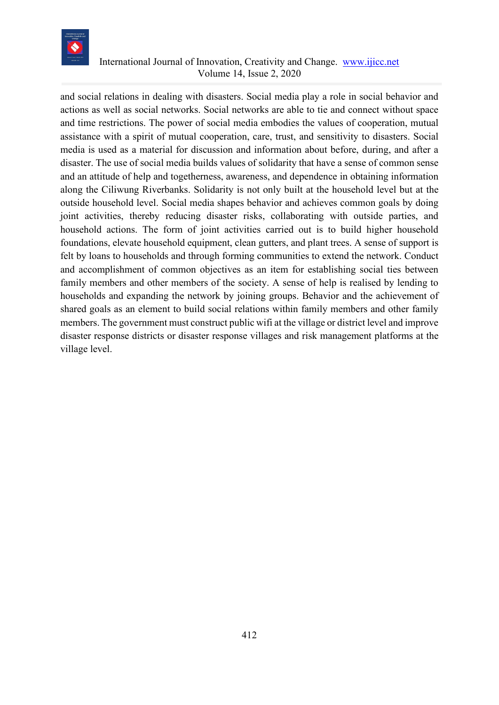

and social relations in dealing with disasters. Social media play a role in social behavior and actions as well as social networks. Social networks are able to tie and connect without space and time restrictions. The power of social media embodies the values of cooperation, mutual assistance with a spirit of mutual cooperation, care, trust, and sensitivity to disasters. Social media is used as a material for discussion and information about before, during, and after a disaster. The use of social media builds values of solidarity that have a sense of common sense and an attitude of help and togetherness, awareness, and dependence in obtaining information along the Ciliwung Riverbanks. Solidarity is not only built at the household level but at the outside household level. Social media shapes behavior and achieves common goals by doing joint activities, thereby reducing disaster risks, collaborating with outside parties, and household actions. The form of joint activities carried out is to build higher household foundations, elevate household equipment, clean gutters, and plant trees. A sense of support is felt by loans to households and through forming communities to extend the network. Conduct and accomplishment of common objectives as an item for establishing social ties between family members and other members of the society. A sense of help is realised by lending to households and expanding the network by joining groups. Behavior and the achievement of shared goals as an element to build social relations within family members and other family members. The government must construct public wifi at the village or district level and improve disaster response districts or disaster response villages and risk management platforms at the village level.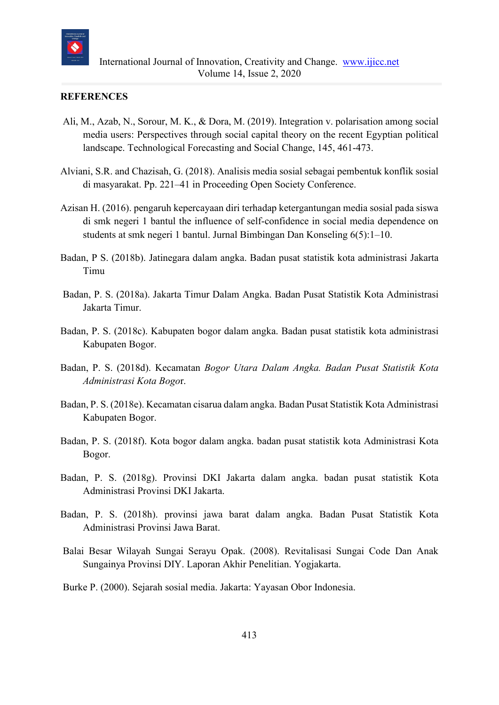

#### **REFERENCES**

- Ali, M., Azab, N., Sorour, M. K., & Dora, M. (2019). Integration v. polarisation among social media users: Perspectives through social capital theory on the recent Egyptian political landscape. Technological Forecasting and Social Change, 145, 461-473.
- Alviani, S.R. and Chazisah, G. (2018). Analisis media sosial sebagai pembentuk konflik sosial di masyarakat. Pp. 221–41 in Proceeding Open Society Conference.
- Azisan H. (2016). pengaruh kepercayaan diri terhadap ketergantungan media sosial pada siswa di smk negeri 1 bantul the influence of self-confidence in social media dependence on students at smk negeri 1 bantul. Jurnal Bimbingan Dan Konseling 6(5):1–10.
- Badan, P S. (2018b). Jatinegara dalam angka. Badan pusat statistik kota administrasi Jakarta Timu
- Badan, P. S. (2018a). Jakarta Timur Dalam Angka. Badan Pusat Statistik Kota Administrasi Jakarta Timur.
- Badan, P. S. (2018c). Kabupaten bogor dalam angka. Badan pusat statistik kota administrasi Kabupaten Bogor.
- Badan, P. S. (2018d). Kecamatan *Bogor Utara Dalam Angka. Badan Pusat Statistik Kota Administrasi Kota Bogo*r.
- Badan, P. S. (2018e). Kecamatan cisarua dalam angka. Badan Pusat Statistik Kota Administrasi Kabupaten Bogor.
- Badan, P. S. (2018f). Kota bogor dalam angka. badan pusat statistik kota Administrasi Kota Bogor.
- Badan, P. S. (2018g). Provinsi DKI Jakarta dalam angka. badan pusat statistik Kota Administrasi Provinsi DKI Jakarta.
- Badan, P. S. (2018h). provinsi jawa barat dalam angka. Badan Pusat Statistik Kota Administrasi Provinsi Jawa Barat.
- Balai Besar Wilayah Sungai Serayu Opak. (2008). Revitalisasi Sungai Code Dan Anak Sungainya Provinsi DIY. Laporan Akhir Penelitian. Yogjakarta.
- Burke P. (2000). Sejarah sosial media. Jakarta: Yayasan Obor Indonesia.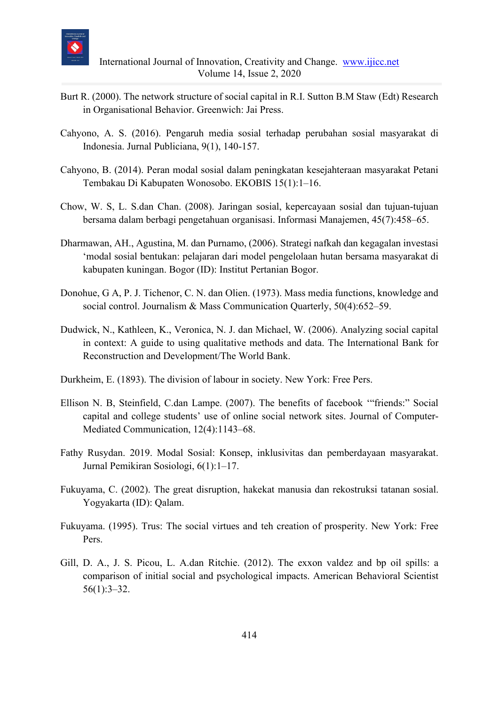

- Burt R. (2000). The network structure of social capital in R.I. Sutton B.M Staw (Edt) Research in Organisational Behavior. Greenwich: Jai Press.
- Cahyono, A. S. (2016). Pengaruh media sosial terhadap perubahan sosial masyarakat di Indonesia. Jurnal Publiciana, 9(1), 140-157.
- Cahyono, B. (2014). Peran modal sosial dalam peningkatan kesejahteraan masyarakat Petani Tembakau Di Kabupaten Wonosobo. EKOBIS 15(1):1–16.
- Chow, W. S, L. S.dan Chan. (2008). Jaringan sosial, kepercayaan sosial dan tujuan-tujuan bersama dalam berbagi pengetahuan organisasi. Informasi Manajemen, 45(7):458–65.
- Dharmawan, AH., Agustina, M. dan Purnamo, (2006). Strategi nafkah dan kegagalan investasi 'modal sosial bentukan: pelajaran dari model pengelolaan hutan bersama masyarakat di kabupaten kuningan. Bogor (ID): Institut Pertanian Bogor.
- Donohue, G A, P. J. Tichenor, C. N. dan Olien. (1973). Mass media functions, knowledge and social control. Journalism & Mass Communication Quarterly, 50(4):652–59.
- Dudwick, N., Kathleen, K., Veronica, N. J. dan Michael, W. (2006). Analyzing social capital in context: A guide to using qualitative methods and data. The International Bank for Reconstruction and Development/The World Bank.
- Durkheim, E. (1893). The division of labour in society. New York: Free Pers.
- Ellison N. B, Steinfield, C.dan Lampe. (2007). The benefits of facebook '"friends:" Social capital and college students' use of online social network sites. Journal of Computer-Mediated Communication, 12(4):1143–68.
- Fathy Rusydan. 2019. Modal Sosial: Konsep, inklusivitas dan pemberdayaan masyarakat. Jurnal Pemikiran Sosiologi, 6(1):1–17.
- Fukuyama, C. (2002). The great disruption, hakekat manusia dan rekostruksi tatanan sosial. Yogyakarta (ID): Qalam.
- Fukuyama. (1995). Trus: The social virtues and teh creation of prosperity. New York: Free Pers.
- Gill, D. A., J. S. Picou, L. A.dan Ritchie. (2012). The exxon valdez and bp oil spills: a comparison of initial social and psychological impacts. American Behavioral Scientist 56(1):3–32.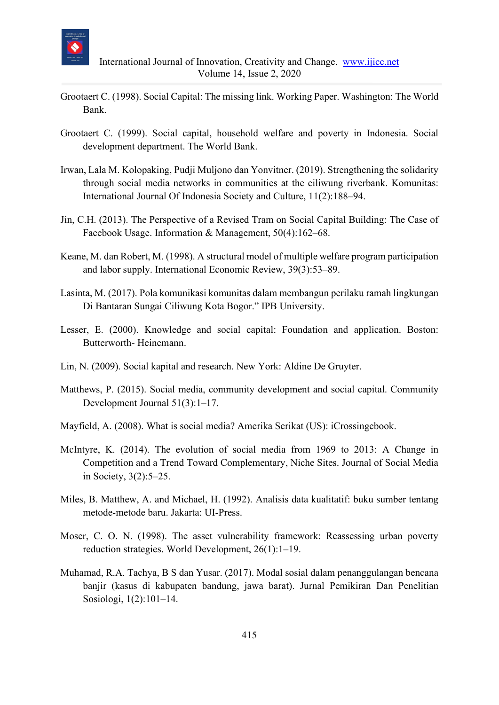

- Grootaert C. (1998). Social Capital: The missing link. Working Paper. Washington: The World Bank.
- Grootaert C. (1999). Social capital, household welfare and poverty in Indonesia. Social development department. The World Bank.
- Irwan, Lala M. Kolopaking, Pudji Muljono dan Yonvitner. (2019). Strengthening the solidarity through social media networks in communities at the ciliwung riverbank. Komunitas: International Journal Of Indonesia Society and Culture, 11(2):188–94.
- Jin, C.H. (2013). The Perspective of a Revised Tram on Social Capital Building: The Case of Facebook Usage. Information & Management, 50(4):162–68.
- Keane, M. dan Robert, M. (1998). A structural model of multiple welfare program participation and labor supply. International Economic Review, 39(3):53–89.
- Lasinta, M. (2017). Pola komunikasi komunitas dalam membangun perilaku ramah lingkungan Di Bantaran Sungai Ciliwung Kota Bogor." IPB University.
- Lesser, E. (2000). Knowledge and social capital: Foundation and application. Boston: Butterworth- Heinemann.
- Lin, N. (2009). Social kapital and research. New York: Aldine De Gruyter.
- Matthews, P. (2015). Social media, community development and social capital. Community Development Journal 51(3):1–17.
- Mayfield, A. (2008). What is social media? Amerika Serikat (US): iCrossingebook.
- McIntyre, K. (2014). The evolution of social media from 1969 to 2013: A Change in Competition and a Trend Toward Complementary, Niche Sites. Journal of Social Media in Society, 3(2):5–25.
- Miles, B. Matthew, A. and Michael, H. (1992). Analisis data kualitatif: buku sumber tentang metode-metode baru. Jakarta: UI-Press.
- Moser, C. O. N. (1998). The asset vulnerability framework: Reassessing urban poverty reduction strategies. World Development, 26(1):1–19.
- Muhamad, R.A. Tachya, B S dan Yusar. (2017). Modal sosial dalam penanggulangan bencana banjir (kasus di kabupaten bandung, jawa barat). Jurnal Pemikiran Dan Penelitian Sosiologi, 1(2):101–14.